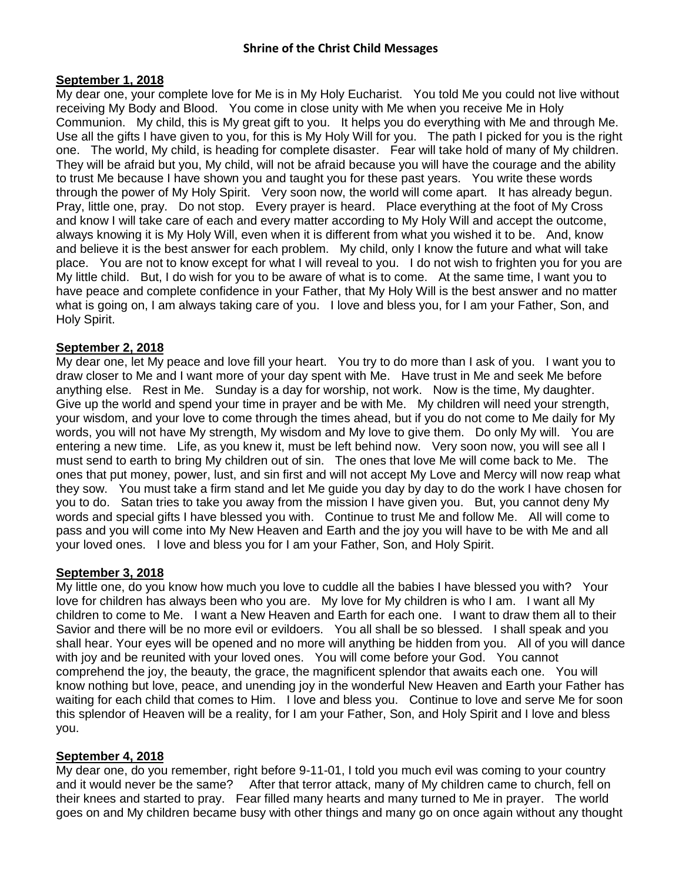#### **September 1, 2018**

My dear one, your complete love for Me is in My Holy Eucharist. You told Me you could not live without receiving My Body and Blood. You come in close unity with Me when you receive Me in Holy Communion. My child, this is My great gift to you. It helps you do everything with Me and through Me. Use all the gifts I have given to you, for this is My Holy Will for you. The path I picked for you is the right one. The world, My child, is heading for complete disaster. Fear will take hold of many of My children. They will be afraid but you, My child, will not be afraid because you will have the courage and the ability to trust Me because I have shown you and taught you for these past years. You write these words through the power of My Holy Spirit. Very soon now, the world will come apart. It has already begun. Pray, little one, pray. Do not stop. Every prayer is heard. Place everything at the foot of My Cross and know I will take care of each and every matter according to My Holy Will and accept the outcome, always knowing it is My Holy Will, even when it is different from what you wished it to be. And, know and believe it is the best answer for each problem. My child, only I know the future and what will take place. You are not to know except for what I will reveal to you. I do not wish to frighten you for you are My little child. But, I do wish for you to be aware of what is to come. At the same time, I want you to have peace and complete confidence in your Father, that My Holy Will is the best answer and no matter what is going on, I am always taking care of you. I love and bless you, for I am your Father, Son, and Holy Spirit.

## **September 2, 2018**

My dear one, let My peace and love fill your heart. You try to do more than I ask of you. I want you to draw closer to Me and I want more of your day spent with Me. Have trust in Me and seek Me before anything else. Rest in Me. Sunday is a day for worship, not work. Now is the time, My daughter. Give up the world and spend your time in prayer and be with Me. My children will need your strength, your wisdom, and your love to come through the times ahead, but if you do not come to Me daily for My words, you will not have My strength, My wisdom and My love to give them. Do only My will. You are entering a new time. Life, as you knew it, must be left behind now. Very soon now, you will see all I must send to earth to bring My children out of sin. The ones that love Me will come back to Me. The ones that put money, power, lust, and sin first and will not accept My Love and Mercy will now reap what they sow. You must take a firm stand and let Me guide you day by day to do the work I have chosen for you to do. Satan tries to take you away from the mission I have given you. But, you cannot deny My words and special gifts I have blessed you with. Continue to trust Me and follow Me. All will come to pass and you will come into My New Heaven and Earth and the joy you will have to be with Me and all your loved ones. I love and bless you for I am your Father, Son, and Holy Spirit.

### **September 3, 2018**

My little one, do you know how much you love to cuddle all the babies I have blessed you with? Your love for children has always been who you are. My love for My children is who I am. I want all My children to come to Me. I want a New Heaven and Earth for each one. I want to draw them all to their Savior and there will be no more evil or evildoers. You all shall be so blessed. I shall speak and you shall hear. Your eyes will be opened and no more will anything be hidden from you. All of you will dance with joy and be reunited with your loved ones. You will come before your God. You cannot comprehend the joy, the beauty, the grace, the magnificent splendor that awaits each one. You will know nothing but love, peace, and unending joy in the wonderful New Heaven and Earth your Father has waiting for each child that comes to Him. I love and bless you. Continue to love and serve Me for soon this splendor of Heaven will be a reality, for I am your Father, Son, and Holy Spirit and I love and bless you.

### **September 4, 2018**

My dear one, do you remember, right before 9-11-01, I told you much evil was coming to your country and it would never be the same? After that terror attack, many of My children came to church, fell on their knees and started to pray. Fear filled many hearts and many turned to Me in prayer. The world goes on and My children became busy with other things and many go on once again without any thought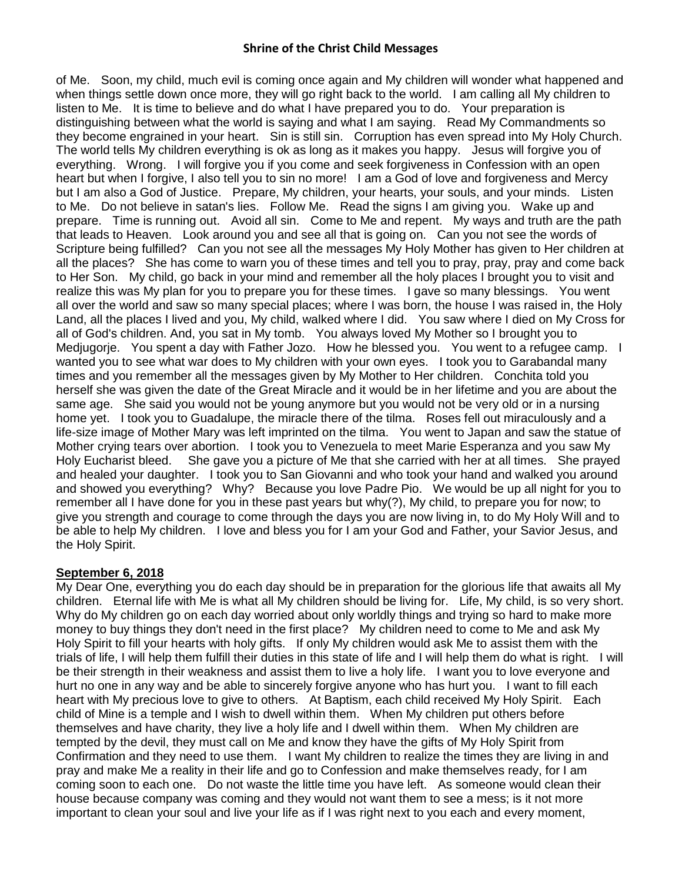of Me. Soon, my child, much evil is coming once again and My children will wonder what happened and when things settle down once more, they will go right back to the world. I am calling all My children to listen to Me. It is time to believe and do what I have prepared you to do. Your preparation is distinguishing between what the world is saying and what I am saying. Read My Commandments so they become engrained in your heart. Sin is still sin. Corruption has even spread into My Holy Church. The world tells My children everything is ok as long as it makes you happy. Jesus will forgive you of everything. Wrong. I will forgive you if you come and seek forgiveness in Confession with an open heart but when I forgive, I also tell you to sin no more! I am a God of love and forgiveness and Mercy but I am also a God of Justice. Prepare, My children, your hearts, your souls, and your minds. Listen to Me. Do not believe in satan's lies. Follow Me. Read the signs I am giving you. Wake up and prepare. Time is running out. Avoid all sin. Come to Me and repent. My ways and truth are the path that leads to Heaven. Look around you and see all that is going on. Can you not see the words of Scripture being fulfilled? Can you not see all the messages My Holy Mother has given to Her children at all the places? She has come to warn you of these times and tell you to pray, pray, pray and come back to Her Son. My child, go back in your mind and remember all the holy places I brought you to visit and realize this was My plan for you to prepare you for these times. I gave so many blessings. You went all over the world and saw so many special places; where I was born, the house I was raised in, the Holy Land, all the places I lived and you, My child, walked where I did. You saw where I died on My Cross for all of God's children. And, you sat in My tomb. You always loved My Mother so I brought you to Medjugorje. You spent a day with Father Jozo. How he blessed you. You went to a refugee camp. I wanted you to see what war does to My children with your own eyes. I took you to Garabandal many times and you remember all the messages given by My Mother to Her children. Conchita told you herself she was given the date of the Great Miracle and it would be in her lifetime and you are about the same age. She said you would not be young anymore but you would not be very old or in a nursing home yet. I took you to Guadalupe, the miracle there of the tilma. Roses fell out miraculously and a life-size image of Mother Mary was left imprinted on the tilma. You went to Japan and saw the statue of Mother crying tears over abortion. I took you to Venezuela to meet Marie Esperanza and you saw My Holy Eucharist bleed. She gave you a picture of Me that she carried with her at all times. She prayed and healed your daughter. I took you to San Giovanni and who took your hand and walked you around and showed you everything? Why? Because you love Padre Pio. We would be up all night for you to remember all I have done for you in these past years but why(?), My child, to prepare you for now; to give you strength and courage to come through the days you are now living in, to do My Holy Will and to be able to help My children. I love and bless you for I am your God and Father, your Savior Jesus, and the Holy Spirit.

# **September 6, 2018**

My Dear One, everything you do each day should be in preparation for the glorious life that awaits all My children. Eternal life with Me is what all My children should be living for. Life, My child, is so very short. Why do My children go on each day worried about only worldly things and trying so hard to make more money to buy things they don't need in the first place? My children need to come to Me and ask My Holy Spirit to fill your hearts with holy gifts. If only My children would ask Me to assist them with the trials of life, I will help them fulfill their duties in this state of life and I will help them do what is right. I will be their strength in their weakness and assist them to live a holy life. I want you to love everyone and hurt no one in any way and be able to sincerely forgive anyone who has hurt you. I want to fill each heart with My precious love to give to others. At Baptism, each child received My Holy Spirit. Each child of Mine is a temple and I wish to dwell within them. When My children put others before themselves and have charity, they live a holy life and I dwell within them. When My children are tempted by the devil, they must call on Me and know they have the gifts of My Holy Spirit from Confirmation and they need to use them. I want My children to realize the times they are living in and pray and make Me a reality in their life and go to Confession and make themselves ready, for I am coming soon to each one. Do not waste the little time you have left. As someone would clean their house because company was coming and they would not want them to see a mess; is it not more important to clean your soul and live your life as if I was right next to you each and every moment,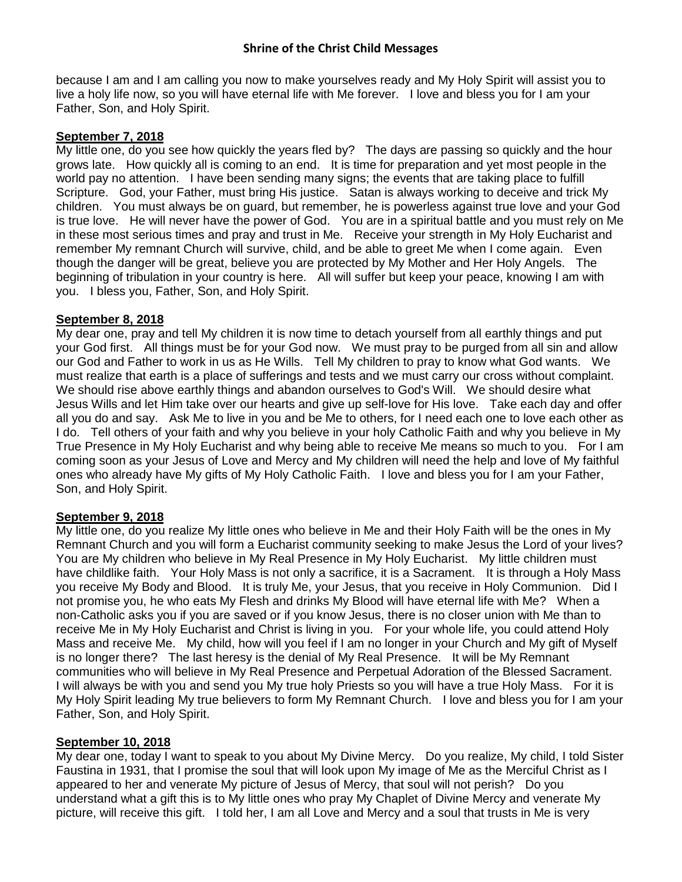because I am and I am calling you now to make yourselves ready and My Holy Spirit will assist you to live a holy life now, so you will have eternal life with Me forever. I love and bless you for I am your Father, Son, and Holy Spirit.

### **September 7, 2018**

My little one, do you see how quickly the years fled by? The days are passing so quickly and the hour grows late. How quickly all is coming to an end. It is time for preparation and yet most people in the world pay no attention. I have been sending many signs; the events that are taking place to fulfill Scripture. God, your Father, must bring His justice. Satan is always working to deceive and trick My children. You must always be on guard, but remember, he is powerless against true love and your God is true love. He will never have the power of God. You are in a spiritual battle and you must rely on Me in these most serious times and pray and trust in Me. Receive your strength in My Holy Eucharist and remember My remnant Church will survive, child, and be able to greet Me when I come again. Even though the danger will be great, believe you are protected by My Mother and Her Holy Angels. The beginning of tribulation in your country is here. All will suffer but keep your peace, knowing I am with you. I bless you, Father, Son, and Holy Spirit.

#### **September 8, 2018**

My dear one, pray and tell My children it is now time to detach yourself from all earthly things and put your God first. All things must be for your God now. We must pray to be purged from all sin and allow our God and Father to work in us as He Wills. Tell My children to pray to know what God wants. We must realize that earth is a place of sufferings and tests and we must carry our cross without complaint. We should rise above earthly things and abandon ourselves to God's Will. We should desire what Jesus Wills and let Him take over our hearts and give up self-love for His love. Take each day and offer all you do and say. Ask Me to live in you and be Me to others, for I need each one to love each other as I do. Tell others of your faith and why you believe in your holy Catholic Faith and why you believe in My True Presence in My Holy Eucharist and why being able to receive Me means so much to you. For I am coming soon as your Jesus of Love and Mercy and My children will need the help and love of My faithful ones who already have My gifts of My Holy Catholic Faith. I love and bless you for I am your Father, Son, and Holy Spirit.

### **September 9, 2018**

My little one, do you realize My little ones who believe in Me and their Holy Faith will be the ones in My Remnant Church and you will form a Eucharist community seeking to make Jesus the Lord of your lives? You are My children who believe in My Real Presence in My Holy Eucharist. My little children must have childlike faith. Your Holy Mass is not only a sacrifice, it is a Sacrament. It is through a Holy Mass you receive My Body and Blood. It is truly Me, your Jesus, that you receive in Holy Communion. Did I not promise you, he who eats My Flesh and drinks My Blood will have eternal life with Me? When a non-Catholic asks you if you are saved or if you know Jesus, there is no closer union with Me than to receive Me in My Holy Eucharist and Christ is living in you. For your whole life, you could attend Holy Mass and receive Me. My child, how will you feel if I am no longer in your Church and My gift of Myself is no longer there? The last heresy is the denial of My Real Presence. It will be My Remnant communities who will believe in My Real Presence and Perpetual Adoration of the Blessed Sacrament. I will always be with you and send you My true holy Priests so you will have a true Holy Mass. For it is My Holy Spirit leading My true believers to form My Remnant Church. I love and bless you for I am your Father, Son, and Holy Spirit.

### **September 10, 2018**

My dear one, today I want to speak to you about My Divine Mercy. Do you realize, My child, I told Sister Faustina in 1931, that I promise the soul that will look upon My image of Me as the Merciful Christ as I appeared to her and venerate My picture of Jesus of Mercy, that soul will not perish? Do you understand what a gift this is to My little ones who pray My Chaplet of Divine Mercy and venerate My picture, will receive this gift. I told her, I am all Love and Mercy and a soul that trusts in Me is very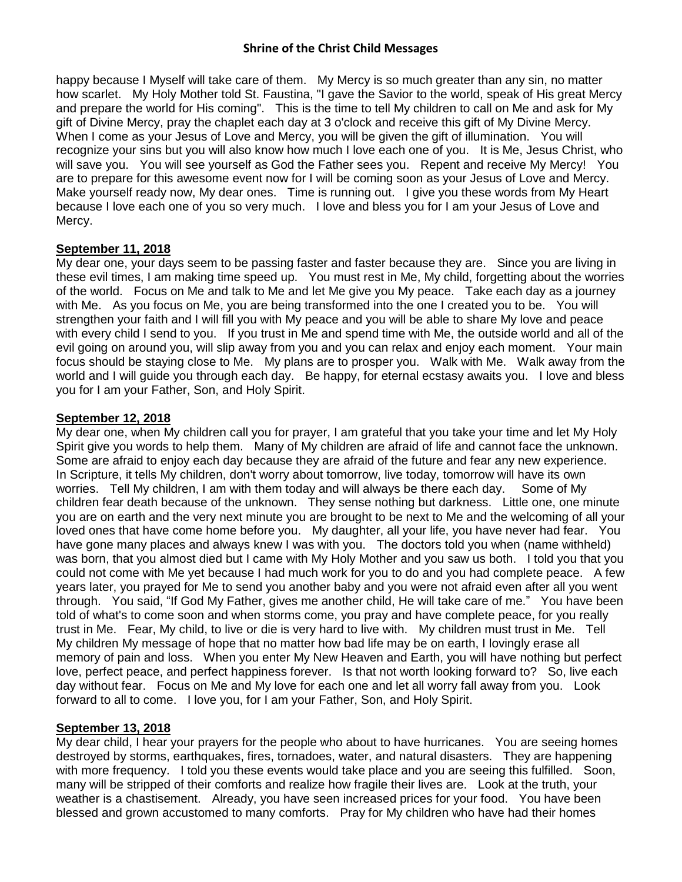happy because I Myself will take care of them. My Mercy is so much greater than any sin, no matter how scarlet. My Holy Mother told St. Faustina, "I gave the Savior to the world, speak of His great Mercy and prepare the world for His coming". This is the time to tell My children to call on Me and ask for My gift of Divine Mercy, pray the chaplet each day at 3 o'clock and receive this gift of My Divine Mercy. When I come as your Jesus of Love and Mercy, you will be given the gift of illumination. You will recognize your sins but you will also know how much I love each one of you. It is Me, Jesus Christ, who will save you. You will see yourself as God the Father sees you. Repent and receive My Mercy! You are to prepare for this awesome event now for I will be coming soon as your Jesus of Love and Mercy. Make yourself ready now, My dear ones. Time is running out. I give you these words from My Heart because I love each one of you so very much. I love and bless you for I am your Jesus of Love and Mercy.

## **September 11, 2018**

My dear one, your days seem to be passing faster and faster because they are. Since you are living in these evil times, I am making time speed up. You must rest in Me, My child, forgetting about the worries of the world. Focus on Me and talk to Me and let Me give you My peace. Take each day as a journey with Me. As you focus on Me, you are being transformed into the one I created you to be. You will strengthen your faith and I will fill you with My peace and you will be able to share My love and peace with every child I send to you. If you trust in Me and spend time with Me, the outside world and all of the evil going on around you, will slip away from you and you can relax and enjoy each moment. Your main focus should be staying close to Me. My plans are to prosper you. Walk with Me. Walk away from the world and I will guide you through each day. Be happy, for eternal ecstasy awaits you. I love and bless you for I am your Father, Son, and Holy Spirit.

## **September 12, 2018**

My dear one, when My children call you for prayer, I am grateful that you take your time and let My Holy Spirit give you words to help them. Many of My children are afraid of life and cannot face the unknown. Some are afraid to enjoy each day because they are afraid of the future and fear any new experience. In Scripture, it tells My children, don't worry about tomorrow, live today, tomorrow will have its own worries. Tell My children, I am with them today and will always be there each day. Some of My children fear death because of the unknown. They sense nothing but darkness. Little one, one minute you are on earth and the very next minute you are brought to be next to Me and the welcoming of all your loved ones that have come home before you. My daughter, all your life, you have never had fear. You have gone many places and always knew I was with you. The doctors told you when (name withheld) was born, that you almost died but I came with My Holy Mother and you saw us both. I told you that you could not come with Me yet because I had much work for you to do and you had complete peace. A few years later, you prayed for Me to send you another baby and you were not afraid even after all you went through. You said, "If God My Father, gives me another child, He will take care of me." You have been told of what's to come soon and when storms come, you pray and have complete peace, for you really trust in Me. Fear, My child, to live or die is very hard to live with. My children must trust in Me. Tell My children My message of hope that no matter how bad life may be on earth, I lovingly erase all memory of pain and loss. When you enter My New Heaven and Earth, you will have nothing but perfect love, perfect peace, and perfect happiness forever. Is that not worth looking forward to? So, live each day without fear. Focus on Me and My love for each one and let all worry fall away from you. Look forward to all to come. I love you, for I am your Father, Son, and Holy Spirit.

# **September 13, 2018**

My dear child, I hear your prayers for the people who about to have hurricanes. You are seeing homes destroyed by storms, earthquakes, fires, tornadoes, water, and natural disasters. They are happening with more frequency. I told you these events would take place and you are seeing this fulfilled. Soon, many will be stripped of their comforts and realize how fragile their lives are. Look at the truth, your weather is a chastisement. Already, you have seen increased prices for your food. You have been blessed and grown accustomed to many comforts. Pray for My children who have had their homes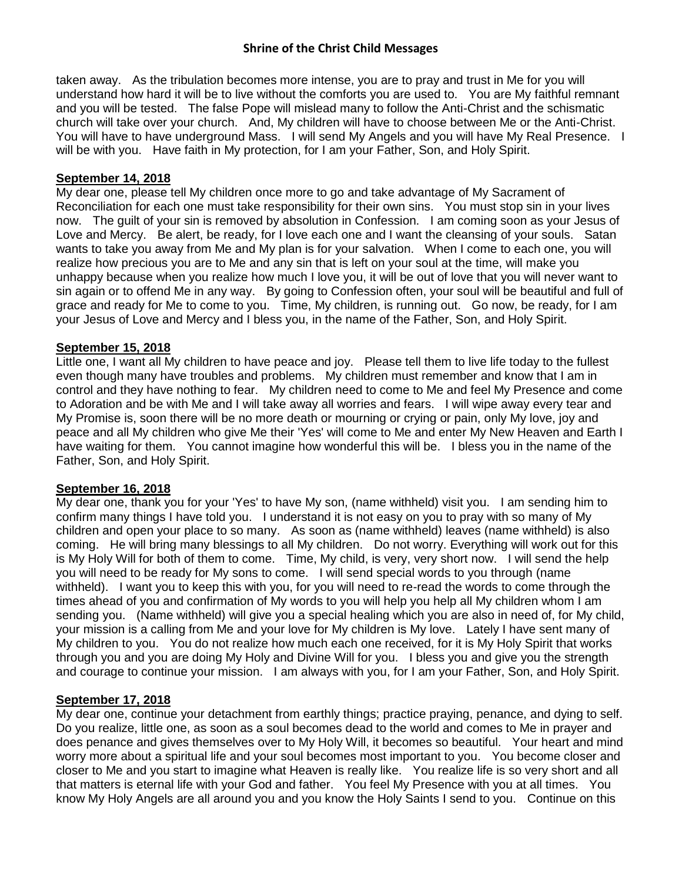taken away. As the tribulation becomes more intense, you are to pray and trust in Me for you will understand how hard it will be to live without the comforts you are used to. You are My faithful remnant and you will be tested. The false Pope will mislead many to follow the Anti-Christ and the schismatic church will take over your church. And, My children will have to choose between Me or the Anti-Christ. You will have to have underground Mass. I will send My Angels and you will have My Real Presence. I will be with you. Have faith in My protection, for I am your Father, Son, and Holy Spirit.

### **September 14, 2018**

My dear one, please tell My children once more to go and take advantage of My Sacrament of Reconciliation for each one must take responsibility for their own sins. You must stop sin in your lives now. The guilt of your sin is removed by absolution in Confession. I am coming soon as your Jesus of Love and Mercy. Be alert, be ready, for I love each one and I want the cleansing of your souls. Satan wants to take you away from Me and My plan is for your salvation. When I come to each one, you will realize how precious you are to Me and any sin that is left on your soul at the time, will make you unhappy because when you realize how much I love you, it will be out of love that you will never want to sin again or to offend Me in any way. By going to Confession often, your soul will be beautiful and full of grace and ready for Me to come to you. Time, My children, is running out. Go now, be ready, for I am your Jesus of Love and Mercy and I bless you, in the name of the Father, Son, and Holy Spirit.

### **September 15, 2018**

Little one, I want all My children to have peace and joy. Please tell them to live life today to the fullest even though many have troubles and problems. My children must remember and know that I am in control and they have nothing to fear. My children need to come to Me and feel My Presence and come to Adoration and be with Me and I will take away all worries and fears. I will wipe away every tear and My Promise is, soon there will be no more death or mourning or crying or pain, only My love, joy and peace and all My children who give Me their 'Yes' will come to Me and enter My New Heaven and Earth I have waiting for them. You cannot imagine how wonderful this will be. I bless you in the name of the Father, Son, and Holy Spirit.

### **September 16, 2018**

My dear one, thank you for your 'Yes' to have My son, (name withheld) visit you. I am sending him to confirm many things I have told you. I understand it is not easy on you to pray with so many of My children and open your place to so many. As soon as (name withheld) leaves (name withheld) is also coming. He will bring many blessings to all My children. Do not worry. Everything will work out for this is My Holy Will for both of them to come. Time, My child, is very, very short now. I will send the help you will need to be ready for My sons to come. I will send special words to you through (name withheld). I want you to keep this with you, for you will need to re-read the words to come through the times ahead of you and confirmation of My words to you will help you help all My children whom I am sending you. (Name withheld) will give you a special healing which you are also in need of, for My child, your mission is a calling from Me and your love for My children is My love. Lately I have sent many of My children to you. You do not realize how much each one received, for it is My Holy Spirit that works through you and you are doing My Holy and Divine Will for you. I bless you and give you the strength and courage to continue your mission. I am always with you, for I am your Father, Son, and Holy Spirit.

### **September 17, 2018**

My dear one, continue your detachment from earthly things; practice praying, penance, and dying to self. Do you realize, little one, as soon as a soul becomes dead to the world and comes to Me in prayer and does penance and gives themselves over to My Holy Will, it becomes so beautiful. Your heart and mind worry more about a spiritual life and your soul becomes most important to you. You become closer and closer to Me and you start to imagine what Heaven is really like. You realize life is so very short and all that matters is eternal life with your God and father. You feel My Presence with you at all times. You know My Holy Angels are all around you and you know the Holy Saints I send to you. Continue on this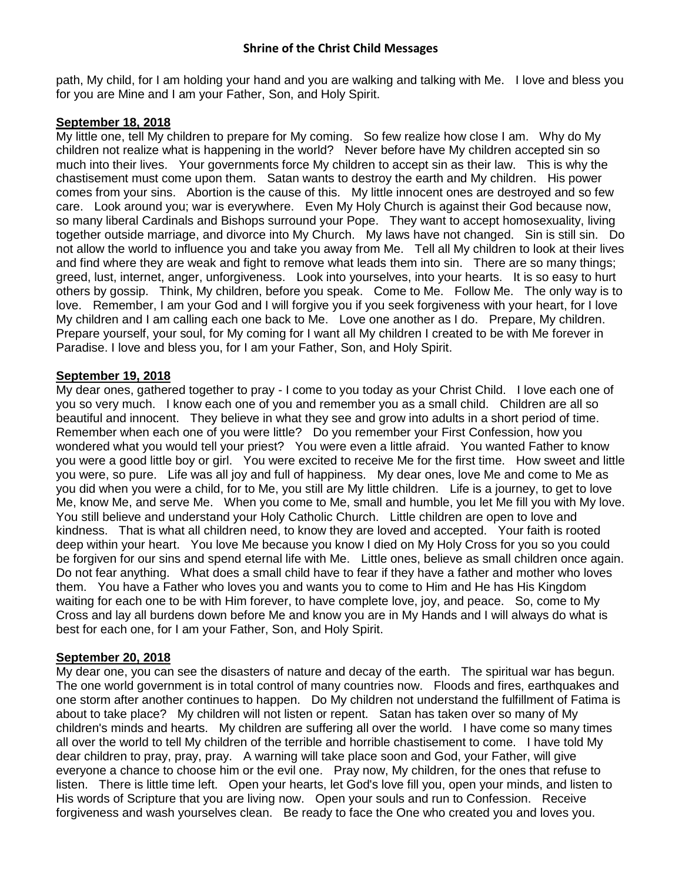path, My child, for I am holding your hand and you are walking and talking with Me. I love and bless you for you are Mine and I am your Father, Son, and Holy Spirit.

# **September 18, 2018**

My little one, tell My children to prepare for My coming. So few realize how close I am. Why do My children not realize what is happening in the world? Never before have My children accepted sin so much into their lives. Your governments force My children to accept sin as their law. This is why the chastisement must come upon them. Satan wants to destroy the earth and My children. His power comes from your sins. Abortion is the cause of this. My little innocent ones are destroyed and so few care. Look around you; war is everywhere. Even My Holy Church is against their God because now, so many liberal Cardinals and Bishops surround your Pope. They want to accept homosexuality, living together outside marriage, and divorce into My Church. My laws have not changed. Sin is still sin. Do not allow the world to influence you and take you away from Me. Tell all My children to look at their lives and find where they are weak and fight to remove what leads them into sin. There are so many things; greed, lust, internet, anger, unforgiveness. Look into yourselves, into your hearts. It is so easy to hurt others by gossip. Think, My children, before you speak. Come to Me. Follow Me. The only way is to love. Remember, I am your God and I will forgive you if you seek forgiveness with your heart, for I love My children and I am calling each one back to Me. Love one another as I do. Prepare, My children. Prepare yourself, your soul, for My coming for I want all My children I created to be with Me forever in Paradise. I love and bless you, for I am your Father, Son, and Holy Spirit.

# **September 19, 2018**

My dear ones, gathered together to pray - I come to you today as your Christ Child. I love each one of you so very much. I know each one of you and remember you as a small child. Children are all so beautiful and innocent. They believe in what they see and grow into adults in a short period of time. Remember when each one of you were little? Do you remember your First Confession, how you wondered what you would tell your priest? You were even a little afraid. You wanted Father to know you were a good little boy or girl. You were excited to receive Me for the first time. How sweet and little you were, so pure. Life was all joy and full of happiness. My dear ones, love Me and come to Me as you did when you were a child, for to Me, you still are My little children. Life is a journey, to get to love Me, know Me, and serve Me. When you come to Me, small and humble, you let Me fill you with My love. You still believe and understand your Holy Catholic Church. Little children are open to love and kindness. That is what all children need, to know they are loved and accepted. Your faith is rooted deep within your heart. You love Me because you know I died on My Holy Cross for you so you could be forgiven for our sins and spend eternal life with Me. Little ones, believe as small children once again. Do not fear anything. What does a small child have to fear if they have a father and mother who loves them. You have a Father who loves you and wants you to come to Him and He has His Kingdom waiting for each one to be with Him forever, to have complete love, joy, and peace. So, come to My Cross and lay all burdens down before Me and know you are in My Hands and I will always do what is best for each one, for I am your Father, Son, and Holy Spirit.

### **September 20, 2018**

My dear one, you can see the disasters of nature and decay of the earth. The spiritual war has begun. The one world government is in total control of many countries now. Floods and fires, earthquakes and one storm after another continues to happen. Do My children not understand the fulfillment of Fatima is about to take place? My children will not listen or repent. Satan has taken over so many of My children's minds and hearts. My children are suffering all over the world. I have come so many times all over the world to tell My children of the terrible and horrible chastisement to come. I have told My dear children to pray, pray, pray. A warning will take place soon and God, your Father, will give everyone a chance to choose him or the evil one. Pray now, My children, for the ones that refuse to listen. There is little time left. Open your hearts, let God's love fill you, open your minds, and listen to His words of Scripture that you are living now. Open your souls and run to Confession. Receive forgiveness and wash yourselves clean. Be ready to face the One who created you and loves you.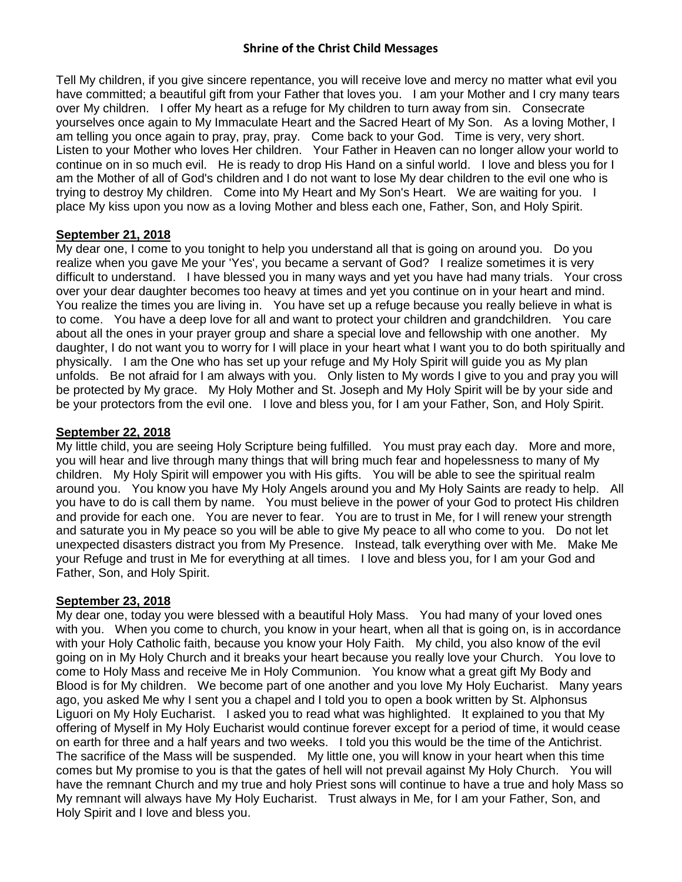Tell My children, if you give sincere repentance, you will receive love and mercy no matter what evil you have committed; a beautiful gift from your Father that loves you. I am your Mother and I cry many tears over My children. I offer My heart as a refuge for My children to turn away from sin. Consecrate yourselves once again to My Immaculate Heart and the Sacred Heart of My Son. As a loving Mother, I am telling you once again to pray, pray, pray. Come back to your God. Time is very, very short. Listen to your Mother who loves Her children. Your Father in Heaven can no longer allow your world to continue on in so much evil. He is ready to drop His Hand on a sinful world. I love and bless you for I am the Mother of all of God's children and I do not want to lose My dear children to the evil one who is trying to destroy My children. Come into My Heart and My Son's Heart. We are waiting for you. I place My kiss upon you now as a loving Mother and bless each one, Father, Son, and Holy Spirit.

## **September 21, 2018**

My dear one, I come to you tonight to help you understand all that is going on around you. Do you realize when you gave Me your 'Yes', you became a servant of God? I realize sometimes it is very difficult to understand. I have blessed you in many ways and yet you have had many trials. Your cross over your dear daughter becomes too heavy at times and yet you continue on in your heart and mind. You realize the times you are living in. You have set up a refuge because you really believe in what is to come. You have a deep love for all and want to protect your children and grandchildren. You care about all the ones in your prayer group and share a special love and fellowship with one another. My daughter, I do not want you to worry for I will place in your heart what I want you to do both spiritually and physically. I am the One who has set up your refuge and My Holy Spirit will guide you as My plan unfolds. Be not afraid for I am always with you. Only listen to My words I give to you and pray you will be protected by My grace. My Holy Mother and St. Joseph and My Holy Spirit will be by your side and be your protectors from the evil one. I love and bless you, for I am your Father, Son, and Holy Spirit.

## **September 22, 2018**

My little child, you are seeing Holy Scripture being fulfilled. You must pray each day. More and more, you will hear and live through many things that will bring much fear and hopelessness to many of My children. My Holy Spirit will empower you with His gifts. You will be able to see the spiritual realm around you. You know you have My Holy Angels around you and My Holy Saints are ready to help. All you have to do is call them by name. You must believe in the power of your God to protect His children and provide for each one. You are never to fear. You are to trust in Me, for I will renew your strength and saturate you in My peace so you will be able to give My peace to all who come to you. Do not let unexpected disasters distract you from My Presence. Instead, talk everything over with Me. Make Me your Refuge and trust in Me for everything at all times. I love and bless you, for I am your God and Father, Son, and Holy Spirit.

### **September 23, 2018**

My dear one, today you were blessed with a beautiful Holy Mass. You had many of your loved ones with you. When you come to church, you know in your heart, when all that is going on, is in accordance with your Holy Catholic faith, because you know your Holy Faith. My child, you also know of the evil going on in My Holy Church and it breaks your heart because you really love your Church. You love to come to Holy Mass and receive Me in Holy Communion. You know what a great gift My Body and Blood is for My children. We become part of one another and you love My Holy Eucharist. Many years ago, you asked Me why I sent you a chapel and I told you to open a book written by St. Alphonsus Liguori on My Holy Eucharist. I asked you to read what was highlighted. It explained to you that My offering of Myself in My Holy Eucharist would continue forever except for a period of time, it would cease on earth for three and a half years and two weeks. I told you this would be the time of the Antichrist. The sacrifice of the Mass will be suspended. My little one, you will know in your heart when this time comes but My promise to you is that the gates of hell will not prevail against My Holy Church. You will have the remnant Church and my true and holy Priest sons will continue to have a true and holy Mass so My remnant will always have My Holy Eucharist. Trust always in Me, for I am your Father, Son, and Holy Spirit and I love and bless you.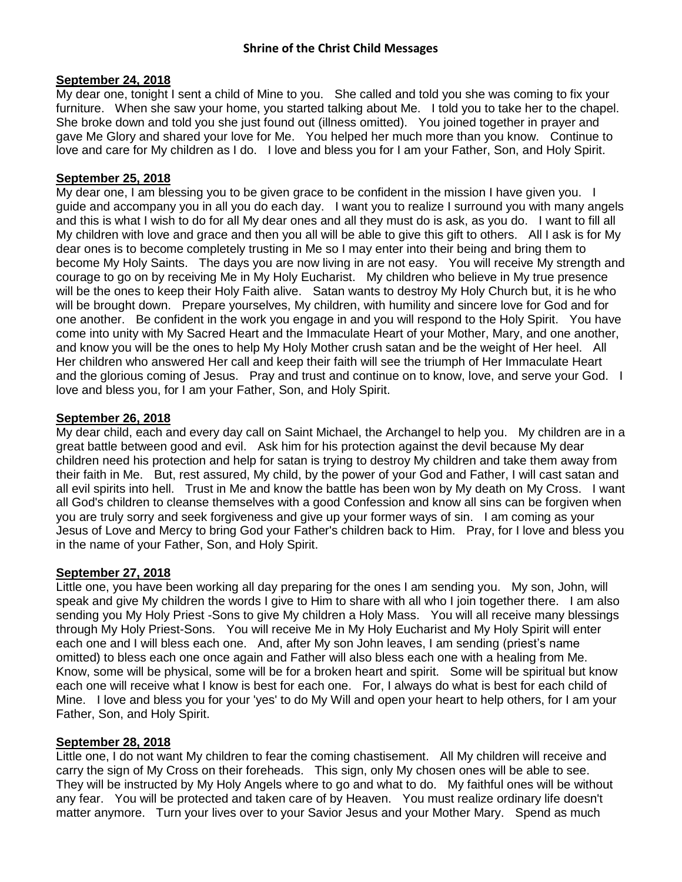#### **September 24, 2018**

My dear one, tonight I sent a child of Mine to you. She called and told you she was coming to fix your furniture. When she saw your home, you started talking about Me. I told you to take her to the chapel. She broke down and told you she just found out (illness omitted). You joined together in prayer and gave Me Glory and shared your love for Me. You helped her much more than you know. Continue to love and care for My children as I do. I love and bless you for I am your Father, Son, and Holy Spirit.

# **September 25, 2018**

My dear one, I am blessing you to be given grace to be confident in the mission I have given you. I guide and accompany you in all you do each day. I want you to realize I surround you with many angels and this is what I wish to do for all My dear ones and all they must do is ask, as you do. I want to fill all My children with love and grace and then you all will be able to give this gift to others. All I ask is for My dear ones is to become completely trusting in Me so I may enter into their being and bring them to become My Holy Saints. The days you are now living in are not easy. You will receive My strength and courage to go on by receiving Me in My Holy Eucharist. My children who believe in My true presence will be the ones to keep their Holy Faith alive. Satan wants to destroy My Holy Church but, it is he who will be brought down. Prepare yourselves, My children, with humility and sincere love for God and for one another. Be confident in the work you engage in and you will respond to the Holy Spirit. You have come into unity with My Sacred Heart and the Immaculate Heart of your Mother, Mary, and one another, and know you will be the ones to help My Holy Mother crush satan and be the weight of Her heel. All Her children who answered Her call and keep their faith will see the triumph of Her Immaculate Heart and the glorious coming of Jesus. Pray and trust and continue on to know, love, and serve your God. I love and bless you, for I am your Father, Son, and Holy Spirit.

#### **September 26, 2018**

My dear child, each and every day call on Saint Michael, the Archangel to help you. My children are in a great battle between good and evil. Ask him for his protection against the devil because My dear children need his protection and help for satan is trying to destroy My children and take them away from their faith in Me. But, rest assured, My child, by the power of your God and Father, I will cast satan and all evil spirits into hell. Trust in Me and know the battle has been won by My death on My Cross. I want all God's children to cleanse themselves with a good Confession and know all sins can be forgiven when you are truly sorry and seek forgiveness and give up your former ways of sin. I am coming as your Jesus of Love and Mercy to bring God your Father's children back to Him. Pray, for I love and bless you in the name of your Father, Son, and Holy Spirit.

### **September 27, 2018**

Little one, you have been working all day preparing for the ones I am sending you. My son, John, will speak and give My children the words I give to Him to share with all who I join together there. I am also sending you My Holy Priest -Sons to give My children a Holy Mass. You will all receive many blessings through My Holy Priest-Sons. You will receive Me in My Holy Eucharist and My Holy Spirit will enter each one and I will bless each one. And, after My son John leaves, I am sending (priest's name omitted) to bless each one once again and Father will also bless each one with a healing from Me. Know, some will be physical, some will be for a broken heart and spirit. Some will be spiritual but know each one will receive what I know is best for each one. For, I always do what is best for each child of Mine. I love and bless you for your 'yes' to do My Will and open your heart to help others, for I am your Father, Son, and Holy Spirit.

#### **September 28, 2018**

Little one, I do not want My children to fear the coming chastisement. All My children will receive and carry the sign of My Cross on their foreheads. This sign, only My chosen ones will be able to see. They will be instructed by My Holy Angels where to go and what to do. My faithful ones will be without any fear. You will be protected and taken care of by Heaven. You must realize ordinary life doesn't matter anymore. Turn your lives over to your Savior Jesus and your Mother Mary. Spend as much